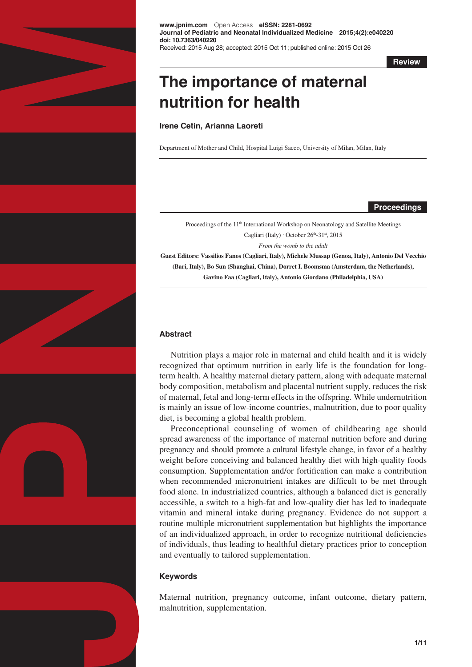

**www.jpnim.com** Open Access **eISSN: 2281-0692 Journal of Pediatric and Neonatal Individualized Medicine 2015;4(2):e040220 doi: 10.7363/040220** Received: 2015 Aug 28; accepted: 2015 Oct 11; published online: 2015 Oct 26

**Review**

# **The importance of maternal nutrition for health**

**Irene Cetin, Arianna Laoreti**

Department of Mother and Child, Hospital Luigi Sacco, University of Milan, Milan, Italy

**Proceedings**

Proceedings of the 11<sup>th</sup> International Workshop on Neonatology and Satellite Meetings Cagliari (Italy)  $\cdot$  October 26<sup>th</sup>-31<sup>st</sup>, 2015 *From the womb to the adult*

**Guest Editors: Vassilios Fanos (Cagliari, Italy), Michele Mussap (Genoa, Italy), Antonio Del Vecchio (Bari, Italy), Bo Sun (Shanghai, China), Dorret I. Boomsma (Amsterdam, the Netherlands), Gavino Faa (Cagliari, Italy), Antonio Giordano (Philadelphia, USA)** 

# **Abstract**

Nutrition plays a major role in maternal and child health and it is widely recognized that optimum nutrition in early life is the foundation for longterm health. A healthy maternal dietary pattern, along with adequate maternal body composition, metabolism and placental nutrient supply, reduces the risk of maternal, fetal and long-term effects in the offspring. While undernutrition is mainly an issue of low-income countries, malnutrition, due to poor quality diet, is becoming a global health problem.

Preconceptional counseling of women of childbearing age should spread awareness of the importance of maternal nutrition before and during pregnancy and should promote a cultural lifestyle change, in favor of a healthy weight before conceiving and balanced healthy diet with high-quality foods consumption. Supplementation and/or fortification can make a contribution when recommended micronutrient intakes are difficult to be met through food alone. In industrialized countries, although a balanced diet is generally accessible, a switch to a high-fat and low-quality diet has led to inadequate vitamin and mineral intake during pregnancy. Evidence do not support a routine multiple micronutrient supplementation but highlights the importance of an individualized approach, in order to recognize nutritional deficiencies of individuals, thus leading to healthful dietary practices prior to conception and eventually to tailored supplementation.

# **Keywords**

Maternal nutrition, pregnancy outcome, infant outcome, dietary pattern, malnutrition, supplementation.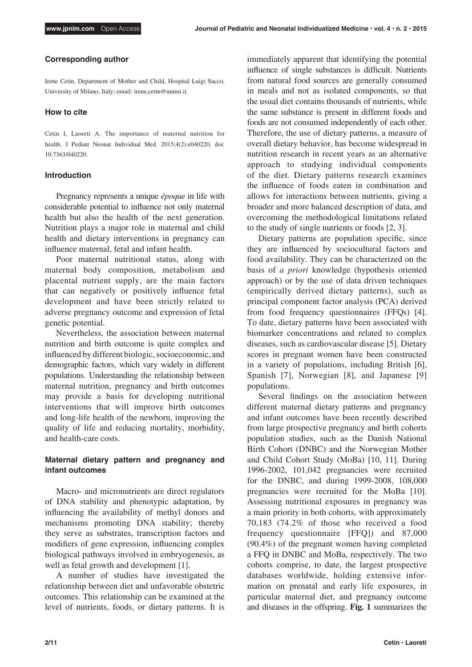## **Corresponding author**

Irene Cetin, Department of Mother and Child, Hospital Luigi Sacco, University of Milano, Italy; email: irene.cetin@unimi.it.

#### **How to cite**

Cetin I, Laoreti A. The importance of maternal nutrition for health. J Pediatr Neonat Individual Med. 2015;4(2):e040220. doi: 10.7363/040220.

## **Introduction**

Pregnancy represents a unique *époque* in life with considerable potential to influence not only maternal health but also the health of the next generation. Nutrition plays a major role in maternal and child health and dietary interventions in pregnancy can influence maternal, fetal and infant health.

Poor maternal nutritional status, along with maternal body composition, metabolism and placental nutrient supply, are the main factors that can negatively or positively influence fetal development and have been strictly related to adverse pregnancy outcome and expression of fetal genetic potential.

Nevertheless, the association between maternal nutrition and birth outcome is quite complex and influenced by different biologic, socioeconomic, and demographic factors, which vary widely in different populations. Understanding the relationship between maternal nutrition, pregnancy and birth outcomes may provide a basis for developing nutritional interventions that will improve birth outcomes and long-life health of the newborn, improving the quality of life and reducing mortality, morbidity, and health-care costs.

# **Maternal dietary pattern and pregnancy and infant outcomes**

Macro- and micronutrients are direct regulators of DNA stability and phenotypic adaptation, by influencing the availability of methyl donors and mechanisms promoting DNA stability; thereby they serve as substrates, transcription factors and modifiers of gene expression, influencing complex biological pathways involved in embryogenesis, as well as fetal growth and development [1].

A number of studies have investigated the relationship between diet and unfavorable obstetric outcomes. This relationship can be examined at the level of nutrients, foods, or dietary patterns. It is immediately apparent that identifying the potential influence of single substances is difficult. Nutrients from natural food sources are generally consumed in meals and not as isolated components, so that the usual diet contains thousands of nutrients, while the same substance is present in different foods and foods are not consumed independently of each other. Therefore, the use of dietary patterns, a measure of overall dietary behavior, has become widespread in nutrition research in recent years as an alternative approach to studying individual components of the diet. Dietary patterns research examines the influence of foods eaten in combination and allows for interactions between nutrients, giving a broader and more balanced description of data, and overcoming the methodological limitations related to the study of single nutrients or foods [2, 3].

Dietary patterns are population specific, since they are influenced by sociocultural factors and food availability. They can be characterized on the basis of *a priori* knowledge (hypothesis oriented approach) or by the use of data driven techniques (empirically derived dietary patterns), such as principal component factor analysis (PCA) derived from food frequency questionnaires (FFQs) [4]. To date, dietary patterns have been associated with biomarker concentrations and related to complex diseases, such as cardiovascular disease [5]. Dietary scores in pregnant women have been constructed in a variety of populations, including British [6], Spanish [7], Norwegian [8], and Japanese [9] populations.

Several findings on the association between different maternal dietary patterns and pregnancy and infant outcomes have been recently described from large prospective pregnancy and birth cohorts population studies, such as the Danish National Birth Cohort (DNBC) and the Norwegian Mother and Child Cohort Study (MoBa) [10, 11]. During 1996-2002, 101,042 pregnancies were recruited for the DNBC, and during 1999-2008, 108,000 pregnancies were recruited for the MoBa [10]. Assessing nutritional exposures in pregnancy was a main priority in both cohorts, with approximately 70,183 (74.2% of those who received a food frequency questionnaire [FFQ]) and 87,000 (90.4%) of the pregnant women having completed a FFQ in DNBC and MoBa, respectively. The two cohorts comprise, to date, the largest prospective databases worldwide, holding extensive information on prenatal and early life exposures, in particular maternal diet, and pregnancy outcome and diseases in the offspring. **Fig. 1** summarizes the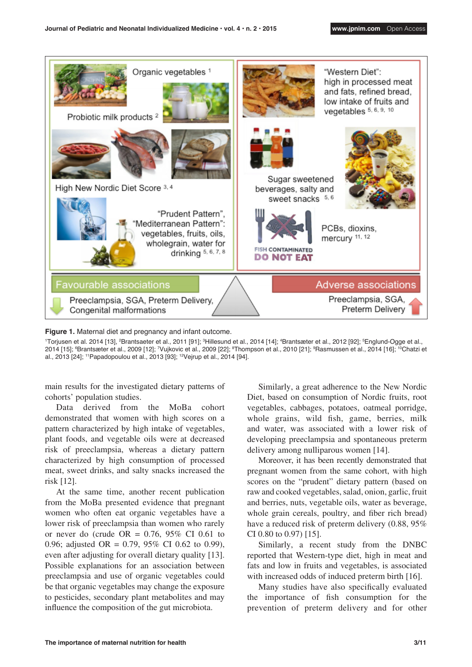

**Figure 1.** Maternal diet and pregnancy and infant outcome.

1Torjusen et al. 2014 [13], <del>'</del>Brantsaeter et al., 2011 [91]; <sup>s</sup>Hillesund et al., 2014 [14]; <del>'</del>Brantsæter et al., 2012 [92]; <sup>s</sup>Englund-Ogge et al., 2014 [15]; <sup>e</sup>Brantsæter et al., 2009 [12]; <sup>7</sup>Vujkovic et al., 2009 [22]; <sup>s</sup>Thompson et al., 2010 [21]; <sup>s</sup>Rasmussen et al., 2014 [16]; <sup>10</sup>Chatzi et al., 2013 [24]; 11Papadopoulou et al., 2013 [93]; 12Vejrup et al., 2014 [94].

main results for the investigated dietary patterns of cohorts' population studies.

Data derived from the MoBa cohort demonstrated that women with high scores on a pattern characterized by high intake of vegetables, plant foods, and vegetable oils were at decreased risk of preeclampsia, whereas a dietary pattern characterized by high consumption of processed meat, sweet drinks, and salty snacks increased the risk [12].

At the same time, another recent publication from the MoBa presented evidence that pregnant women who often eat organic vegetables have a lower risk of preeclampsia than women who rarely or never do (crude  $OR = 0.76$ , 95% CI 0.61 to 0.96; adjusted OR = 0.79, 95% CI 0.62 to 0.99), even after adjusting for overall dietary quality [13]. Possible explanations for an association between preeclampsia and use of organic vegetables could be that organic vegetables may change the exposure to pesticides, secondary plant metabolites and may influence the composition of the gut microbiota.

Similarly, a great adherence to the New Nordic Diet, based on consumption of Nordic fruits, root vegetables, cabbages, potatoes, oatmeal porridge, whole grains, wild fish, game, berries, milk and water, was associated with a lower risk of developing preeclampsia and spontaneous preterm delivery among nulliparous women [14].

Moreover, it has been recently demonstrated that pregnant women from the same cohort, with high scores on the "prudent" dietary pattern (based on raw and cooked vegetables, salad, onion, garlic, fruit and berries, nuts, vegetable oils, water as beverage, whole grain cereals, poultry, and fiber rich bread) have a reduced risk of preterm delivery (0.88, 95% CI 0.80 to 0.97) [15].

Similarly, a recent study from the DNBC reported that Western-type diet, high in meat and fats and low in fruits and vegetables, is associated with increased odds of induced preterm birth [16].

Many studies have also specifically evaluated the importance of fish consumption for the prevention of preterm delivery and for other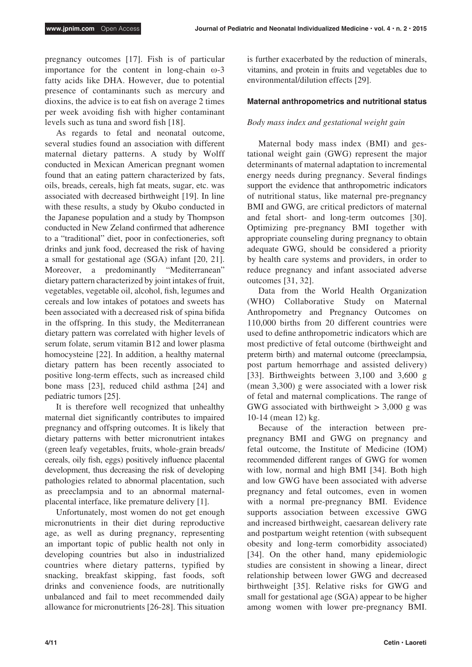pregnancy outcomes [17]. Fish is of particular importance for the content in long-chain  $\omega$ -3 fatty acids like DHA. However, due to potential presence of contaminants such as mercury and dioxins, the advice is to eat fish on average 2 times per week avoiding fish with higher contaminant levels such as tuna and sword fish [18].

As regards to fetal and neonatal outcome, several studies found an association with different maternal dietary patterns. A study by Wolff conducted in Mexican American pregnant women found that an eating pattern characterized by fats, oils, breads, cereals, high fat meats, sugar, etc. was associated with decreased birthweight [19]. In line with these results, a study by Okubo conducted in the Japanese population and a study by Thompson conducted in New Zeland confirmed that adherence to a "traditional" diet, poor in confectioneries, soft drinks and junk food, decreased the risk of having a small for gestational age (SGA) infant [20, 21]. Moreover, a predominantly "Mediterranean" dietary pattern characterized by joint intakes of fruit, vegetables, vegetable oil, alcohol, fish, legumes and cereals and low intakes of potatoes and sweets has been associated with a decreased risk of spina bifida in the offspring. In this study, the Mediterranean dietary pattern was correlated with higher levels of serum folate, serum vitamin B12 and lower plasma homocysteine [22]. In addition, a healthy maternal dietary pattern has been recently associated to positive long-term effects, such as increased child bone mass [23], reduced child asthma [24] and pediatric tumors [25].

It is therefore well recognized that unhealthy maternal diet significantly contributes to impaired pregnancy and offspring outcomes. It is likely that dietary patterns with better micronutrient intakes (green leafy vegetables, fruits, whole-grain breads/ cereals, oily fish, eggs) positively influence placental development, thus decreasing the risk of developing pathologies related to abnormal placentation, such as preeclampsia and to an abnormal maternalplacental interface, like premature delivery [1].

Unfortunately, most women do not get enough micronutrients in their diet during reproductive age, as well as during pregnancy, representing an important topic of public health not only in developing countries but also in industrialized countries where dietary patterns, typified by snacking, breakfast skipping, fast foods, soft drinks and convenience foods, are nutritionally unbalanced and fail to meet recommended daily allowance for micronutrients [26-28]. This situation

is further exacerbated by the reduction of minerals, vitamins, and protein in fruits and vegetables due to environmental/dilution effects [29].

# **Maternal anthropometrics and nutritional status**

# *Body mass index and gestational weight gain*

Maternal body mass index (BMI) and gestational weight gain (GWG) represent the major determinants of maternal adaptation to incremental energy needs during pregnancy. Several findings support the evidence that anthropometric indicators of nutritional status, like maternal pre-pregnancy BMI and GWG, are critical predictors of maternal and fetal short- and long-term outcomes [30]. Optimizing pre-pregnancy BMI together with appropriate counseling during pregnancy to obtain adequate GWG, should be considered a priority by health care systems and providers, in order to reduce pregnancy and infant associated adverse outcomes [31, 32].

Data from the World Health Organization (WHO) Collaborative Study on Maternal Anthropometry and Pregnancy Outcomes on 110,000 births from 20 different countries were used to define anthropometric indicators which are most predictive of fetal outcome (birthweight and preterm birth) and maternal outcome (preeclampsia, post partum hemorrhage and assisted delivery) [33]. Birthweights between 3,100 and 3,600 g (mean 3,300) g were associated with a lower risk of fetal and maternal complications. The range of GWG associated with birthweight  $> 3,000$  g was 10-14 (mean 12) kg.

Because of the interaction between prepregnancy BMI and GWG on pregnancy and fetal outcome, the Institute of Medicine (IOM) recommended different ranges of GWG for women with low, normal and high BMI [34]. Both high and low GWG have been associated with adverse pregnancy and fetal outcomes, even in women with a normal pre-pregnancy BMI. Evidence supports association between excessive GWG and increased birthweight, caesarean delivery rate and postpartum weight retention (with subsequent obesity and long-term comorbidity associated) [34]. On the other hand, many epidemiologic studies are consistent in showing a linear, direct relationship between lower GWG and decreased birthweight [35]. Relative risks for GWG and small for gestational age (SGA) appear to be higher among women with lower pre-pregnancy BMI.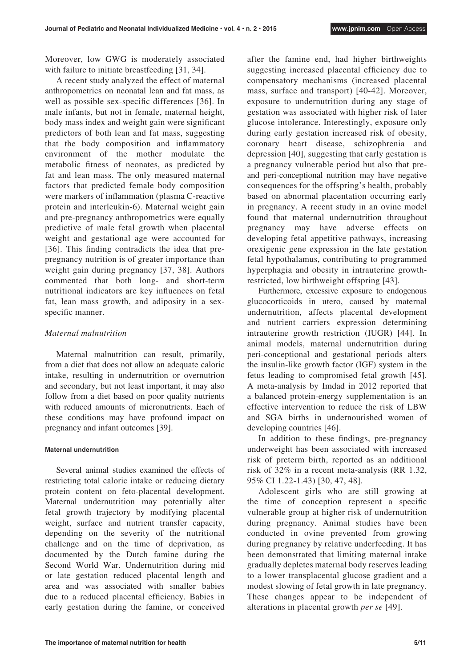Moreover, low GWG is moderately associated with failure to initiate breastfeeding [31, 34].

A recent study analyzed the effect of maternal anthropometrics on neonatal lean and fat mass, as well as possible sex-specific differences [36]. In male infants, but not in female, maternal height, body mass index and weight gain were significant predictors of both lean and fat mass, suggesting that the body composition and inflammatory environment of the mother modulate the metabolic fitness of neonates, as predicted by fat and lean mass. The only measured maternal factors that predicted female body composition were markers of inflammation (plasma C-reactive protein and interleukin-6). Maternal weight gain and pre-pregnancy anthropometrics were equally predictive of male fetal growth when placental weight and gestational age were accounted for [36]. This finding contradicts the idea that prepregnancy nutrition is of greater importance than weight gain during pregnancy [37, 38]. Authors commented that both long- and short-term nutritional indicators are key influences on fetal fat, lean mass growth, and adiposity in a sexspecific manner.

# *Maternal malnutrition*

Maternal malnutrition can result, primarily, from a diet that does not allow an adequate caloric intake, resulting in undernutrition or overnutrion and secondary, but not least important, it may also follow from a diet based on poor quality nutrients with reduced amounts of micronutrients. Each of these conditions may have profound impact on pregnancy and infant outcomes [39].

#### **Maternal undernutrition**

Several animal studies examined the effects of restricting total caloric intake or reducing dietary protein content on feto-placental development. Maternal undernutrition may potentially alter fetal growth trajectory by modifying placental weight, surface and nutrient transfer capacity, depending on the severity of the nutritional challenge and on the time of deprivation, as documented by the Dutch famine during the Second World War. Undernutrition during mid or late gestation reduced placental length and area and was associated with smaller babies due to a reduced placental efficiency. Babies in early gestation during the famine, or conceived after the famine end, had higher birthweights suggesting increased placental efficiency due to compensatory mechanisms (increased placental mass, surface and transport) [40-42]. Moreover, exposure to undernutrition during any stage of gestation was associated with higher risk of later glucose intolerance. Interestingly, exposure only during early gestation increased risk of obesity, coronary heart disease, schizophrenia and depression [40], suggesting that early gestation is a pregnancy vulnerable period but also that preand peri-conceptional nutrition may have negative consequences for the offspring's health, probably based on abnormal placentation occurring early in pregnancy. A recent study in an ovine model found that maternal undernutrition throughout pregnancy may have adverse effects on developing fetal appetitive pathways, increasing orexigenic gene expression in the late gestation fetal hypothalamus, contributing to programmed hyperphagia and obesity in intrauterine growthrestricted, low birthweight offspring [43].

Furthermore, excessive exposure to endogenous glucocorticoids in utero, caused by maternal undernutrition, affects placental development and nutrient carriers expression determining intrauterine growth restriction (IUGR) [44]. In animal models, maternal undernutrition during peri-conceptional and gestational periods alters the insulin-like growth factor (IGF) system in the fetus leading to compromised fetal growth [45]. A meta-analysis by Imdad in 2012 reported that a balanced protein-energy supplementation is an effective intervention to reduce the risk of LBW and SGA births in undernourished women of developing countries [46].

In addition to these findings, pre-pregnancy underweight has been associated with increased risk of preterm birth, reported as an additional risk of 32% in a recent meta-analysis (RR 1.32, 95% CI 1.22-1.43) [30, 47, 48].

Adolescent girls who are still growing at the time of conception represent a specific vulnerable group at higher risk of undernutrition during pregnancy. Animal studies have been conducted in ovine prevented from growing during pregnancy by relative underfeeding. It has been demonstrated that limiting maternal intake gradually depletes maternal body reserves leading to a lower transplacental glucose gradient and a modest slowing of fetal growth in late pregnancy. These changes appear to be independent of alterations in placental growth *per se* [49].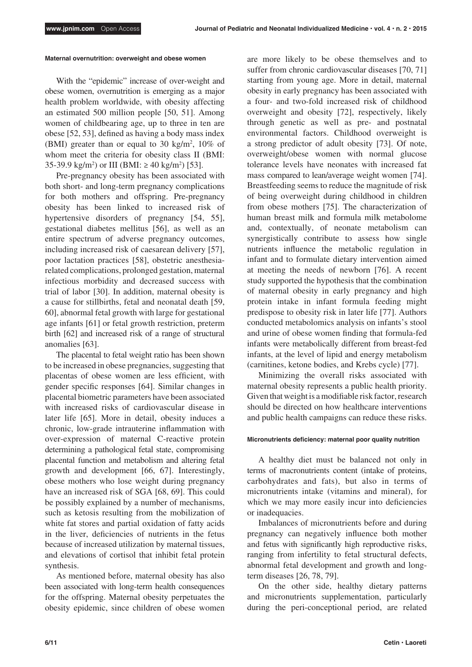#### **Maternal overnutrition: overweight and obese women**

With the "epidemic" increase of over-weight and obese women, overnutrition is emerging as a major health problem worldwide, with obesity affecting an estimated 500 million people [50, 51]. Among women of childbearing age, up to three in ten are obese [52, 53], defined as having a body mass index (BMI) greater than or equal to 30 kg/m<sup>2</sup>,  $10\%$  of whom meet the criteria for obesity class II (BMI: 35-39.9 kg/m<sup>2</sup>) or III (BMI:  $\geq$  40 kg/m<sup>2</sup>) [53].

Pre-pregnancy obesity has been associated with both short- and long-term pregnancy complications for both mothers and offspring. Pre-pregnancy obesity has been linked to increased risk of hypertensive disorders of pregnancy [54, 55], gestational diabetes mellitus [56], as well as an entire spectrum of adverse pregnancy outcomes, including increased risk of caesarean delivery [57], poor lactation practices [58], obstetric anesthesiarelated complications, prolonged gestation, maternal infectious morbidity and decreased success with trial of labor [30]. In addition, maternal obesity is a cause for stillbirths, fetal and neonatal death [59, 60], abnormal fetal growth with large for gestational age infants [61] or fetal growth restriction, preterm birth [62] and increased risk of a range of structural anomalies [63].

The placental to fetal weight ratio has been shown to be increased in obese pregnancies, suggesting that placentas of obese women are less efficient, with gender specific responses [64]. Similar changes in placental biometric parameters have been associated with increased risks of cardiovascular disease in later life [65]. More in detail, obesity induces a chronic, low-grade intrauterine inflammation with over-expression of maternal C-reactive protein determining a pathological fetal state, compromising placental function and metabolism and altering fetal growth and development [66, 67]. Interestingly, obese mothers who lose weight during pregnancy have an increased risk of SGA [68, 69]. This could be possibly explained by a number of mechanisms, such as ketosis resulting from the mobilization of white fat stores and partial oxidation of fatty acids in the liver, deficiencies of nutrients in the fetus because of increased utilization by maternal tissues, and elevations of cortisol that inhibit fetal protein synthesis.

As mentioned before, maternal obesity has also been associated with long-term health consequences for the offspring. Maternal obesity perpetuates the obesity epidemic, since children of obese women

are more likely to be obese themselves and to suffer from chronic cardiovascular diseases [70, 71] starting from young age. More in detail, maternal obesity in early pregnancy has been associated with a four- and two-fold increased risk of childhood overweight and obesity [72], respectively, likely through genetic as well as pre- and postnatal environmental factors. Childhood overweight is a strong predictor of adult obesity [73]. Of note, overweight/obese women with normal glucose tolerance levels have neonates with increased fat mass compared to lean/average weight women [74]. Breastfeeding seems to reduce the magnitude of risk of being overweight during childhood in children from obese mothers [75]. The characterization of human breast milk and formula milk metabolome and, contextually, of neonate metabolism can synergistically contribute to assess how single nutrients influence the metabolic regulation in infant and to formulate dietary intervention aimed at meeting the needs of newborn [76]. A recent study supported the hypothesis that the combination of maternal obesity in early pregnancy and high protein intake in infant formula feeding might predispose to obesity risk in later life [77]. Authors conducted metabolomics analysis on infants's stool and urine of obese women finding that formula-fed infants were metabolically different from breast-fed infants, at the level of lipid and energy metabolism (carnitines, ketone bodies, and Krebs cycle) [77].

Minimizing the overall risks associated with maternal obesity represents a public health priority. Given that weight is a modifiable risk factor, research should be directed on how healthcare interventions and public health campaigns can reduce these risks.

#### **Micronutrients deficiency: maternal poor quality nutrition**

A healthy diet must be balanced not only in terms of macronutrients content (intake of proteins, carbohydrates and fats), but also in terms of micronutrients intake (vitamins and mineral), for which we may more easily incur into deficiencies or inadequacies.

Imbalances of micronutrients before and during pregnancy can negatively influence both mother and fetus with significantly high reproductive risks, ranging from infertility to fetal structural defects, abnormal fetal development and growth and longterm diseases [26, 78, 79].

On the other side, healthy dietary patterns and micronutrients supplementation, particularly during the peri-conceptional period, are related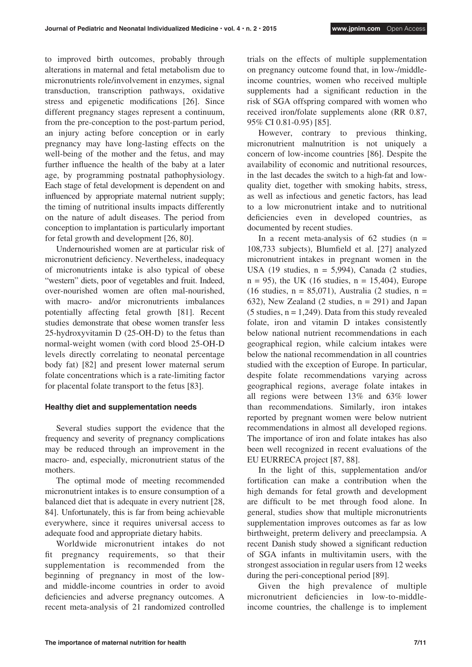to improved birth outcomes, probably through alterations in maternal and fetal metabolism due to micronutrients role/involvement in enzymes, signal transduction, transcription pathways, oxidative stress and epigenetic modifications [26]. Since different pregnancy stages represent a continuum, from the pre-conception to the post-partum period, an injury acting before conception or in early pregnancy may have long-lasting effects on the well-being of the mother and the fetus, and may further influence the health of the baby at a later age, by programming postnatal pathophysiology. Each stage of fetal development is dependent on and influenced by appropriate maternal nutrient supply; the timing of nutritional insults impacts differently on the nature of adult diseases. The period from conception to implantation is particularly important for fetal growth and development [26, 80].

Undernourished women are at particular risk of micronutrient deficiency. Nevertheless, inadequacy of micronutrients intake is also typical of obese "western" diets, poor of vegetables and fruit. Indeed, over-nourished women are often mal-nourished, with macro- and/or micronutrients imbalances potentially affecting fetal growth [81]. Recent studies demonstrate that obese women transfer less 25-hydroxyvitamin D (25-OH-D) to the fetus than normal-weight women (with cord blood 25-OH-D levels directly correlating to neonatal percentage body fat) [82] and present lower maternal serum folate concentrations which is a rate-limiting factor for placental folate transport to the fetus [83].

#### **Healthy diet and supplementation needs**

Several studies support the evidence that the frequency and severity of pregnancy complications may be reduced through an improvement in the macro- and, especially, micronutrient status of the mothers.

The optimal mode of meeting recommended micronutrient intakes is to ensure consumption of a balanced diet that is adequate in every nutrient [28, 84]. Unfortunately, this is far from being achievable everywhere, since it requires universal access to adequate food and appropriate dietary habits.

Worldwide micronutrient intakes do not fit pregnancy requirements, so that their supplementation is recommended from the beginning of pregnancy in most of the lowand middle-income countries in order to avoid deficiencies and adverse pregnancy outcomes. A recent meta-analysis of 21 randomized controlled trials on the effects of multiple supplementation on pregnancy outcome found that, in low-/middleincome countries, women who received multiple supplements had a significant reduction in the risk of SGA offspring compared with women who received iron/folate supplements alone (RR 0.87, 95% CI 0.81-0.95) [85].

However, contrary to previous thinking, micronutrient malnutrition is not uniquely a concern of low-income countries [86]. Despite the availability of economic and nutritional resources, in the last decades the switch to a high-fat and lowquality diet, together with smoking habits, stress, as well as infectious and genetic factors, has lead to a low micronutrient intake and to nutritional deficiencies even in developed countries, as documented by recent studies.

In a recent meta-analysis of  $62$  studies (n = 108,733 subjects), Blumfield et al. [27] analyzed micronutrient intakes in pregnant women in the USA (19 studies,  $n = 5,994$ ), Canada (2 studies,  $n = 95$ ), the UK (16 studies,  $n = 15,404$ ), Europe (16 studies,  $n = 85,071$ ), Australia (2 studies,  $n =$ 632), New Zealand  $(2 \text{ studies}, n = 291)$  and Japan  $(5 \text{ studies}, n = 1,249)$ . Data from this study revealed folate, iron and vitamin D intakes consistently below national nutrient recommendations in each geographical region, while calcium intakes were below the national recommendation in all countries studied with the exception of Europe. In particular, despite folate recommendations varying across geographical regions, average folate intakes in all regions were between 13% and 63% lower than recommendations. Similarly, iron intakes reported by pregnant women were below nutrient recommendations in almost all developed regions. The importance of iron and folate intakes has also been well recognized in recent evaluations of the EU EURRECA project [87, 88].

In the light of this, supplementation and/or fortification can make a contribution when the high demands for fetal growth and development are difficult to be met through food alone. In general, studies show that multiple micronutrients supplementation improves outcomes as far as low birthweight, preterm delivery and preeclampsia. A recent Danish study showed a significant reduction of SGA infants in multivitamin users, with the strongest association in regular users from 12 weeks during the peri-conceptional period [89].

Given the high prevalence of multiple micronutrient deficiencies in low-to-middleincome countries, the challenge is to implement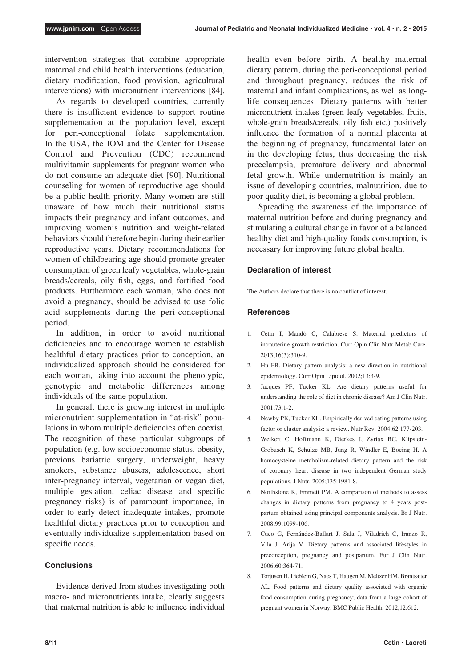intervention strategies that combine appropriate maternal and child health interventions (education, dietary modification, food provision, agricultural interventions) with micronutrient interventions [84].

As regards to developed countries, currently there is insufficient evidence to support routine supplementation at the population level, except for peri-conceptional folate supplementation. In the USA, the IOM and the Center for Disease Control and Prevention (CDC) recommend multivitamin supplements for pregnant women who do not consume an adequate diet [90]. Nutritional counseling for women of reproductive age should be a public health priority. Many women are still unaware of how much their nutritional status impacts their pregnancy and infant outcomes, and improving women's nutrition and weight-related behaviors should therefore begin during their earlier reproductive years. Dietary recommendations for women of childbearing age should promote greater consumption of green leafy vegetables, whole-grain breads/cereals, oily fish, eggs, and fortified food products. Furthermore each woman, who does not avoid a pregnancy, should be advised to use folic acid supplements during the peri-conceptional period.

In addition, in order to avoid nutritional deficiencies and to encourage women to establish healthful dietary practices prior to conception, an individualized approach should be considered for each woman, taking into account the phenotypic, genotypic and metabolic differences among individuals of the same population.

In general, there is growing interest in multiple micronutrient supplementation in "at-risk" populations in whom multiple deficiencies often coexist. The recognition of these particular subgroups of population (e.g. low socioeconomic status, obesity, previous bariatric surgery, underweight, heavy smokers, substance abusers, adolescence, short inter-pregnancy interval, vegetarian or vegan diet, multiple gestation, celiac disease and specific pregnancy risks) is of paramount importance, in order to early detect inadequate intakes, promote healthful dietary practices prior to conception and eventually individualize supplementation based on specific needs.

# **Conclusions**

Evidence derived from studies investigating both macro- and micronutrients intake, clearly suggests that maternal nutrition is able to influence individual

health even before birth. A healthy maternal dietary pattern, during the peri-conceptional period and throughout pregnancy, reduces the risk of maternal and infant complications, as well as longlife consequences. Dietary patterns with better micronutrient intakes (green leafy vegetables, fruits, whole-grain breads/cereals, oily fish etc.) positively influence the formation of a normal placenta at the beginning of pregnancy, fundamental later on in the developing fetus, thus decreasing the risk preeclampsia, premature delivery and abnormal fetal growth. While undernutrition is mainly an issue of developing countries, malnutrition, due to poor quality diet, is becoming a global problem.

Spreading the awareness of the importance of maternal nutrition before and during pregnancy and stimulating a cultural change in favor of a balanced healthy diet and high-quality foods consumption, is necessary for improving future global health.

## **Declaration of interest**

The Authors declare that there is no conflict of interest.

#### **References**

- 1. Cetin I, Mandò C, Calabrese S. Maternal predictors of intrauterine growth restriction. Curr Opin Clin Nutr Metab Care. 2013;16(3):310-9.
- 2. Hu FB. Dietary pattern analysis: a new direction in nutritional epidemiology. Curr Opin Lipidol. 2002;13:3-9.
- 3. Jacques PF, Tucker KL. Are dietary patterns useful for understanding the role of diet in chronic disease? Am J Clin Nutr.  $2001.73.1 - 2$
- 4. Newby PK, Tucker KL. Empirically derived eating patterns using factor or cluster analysis: a review. Nutr Rev. 2004;62:177-203.
- 5. Weikert C, Hoffmann K, Dierkes J, Zyriax BC, Klipstein-Grobusch K, Schulze MB, Jung R, Windler E, Boeing H. A homocysteine metabolism-related dietary pattern and the risk of coronary heart disease in two independent German study populations. J Nutr. 2005;135:1981-8.
- 6. Northstone K, Emmett PM. A comparison of methods to assess changes in dietary patterns from pregnancy to 4 years postpartum obtained using principal components analysis. Br J Nutr. 2008;99:1099-106.
- 7. Cuco G, Fernández-Ballart J, Sala J, Viladrich C, Iranzo R, Vila J, Arija V. Dietary patterns and associated lifestyles in preconception, pregnancy and postpartum. Eur J Clin Nutr. 2006;60:364-71.
- 8. Torjusen H, Lieblein G, Naes T, Haugen M, Meltzer HM, Brantsæter AL. Food patterns and dietary quality associated with organic food consumption during pregnancy; data from a large cohort of pregnant women in Norway. BMC Public Health. 2012;12:612.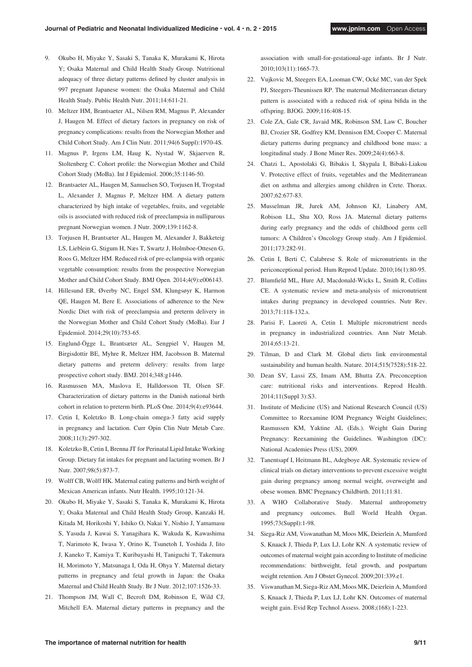- 9. Okubo H, Miyake Y, Sasaki S, Tanaka K, Murakami K, Hirota Y; Osaka Maternal and Child Health Study Group. Nutritional adequacy of three dietary patterns defined by cluster analysis in 997 pregnant Japanese women: the Osaka Maternal and Child Health Study. Public Health Nutr. 2011;14:611-21.
- 10. Meltzer HM, Brantsaeter AL, Nilsen RM, Magnus P, Alexander J, Haugen M. Effect of dietary factors in pregnancy on risk of pregnancy complications: results from the Norwegian Mother and Child Cohort Study. Am J Clin Nutr. 2011;94(6 Suppl):1970-4S.
- 11. Magnus P, Irgens LM, Haug K, Nystad W, Skjaerven R, Stoltenberg C. Cohort profile: the Norwegian Mother and Child Cohort Study (MoBa). Int J Epidemiol. 2006;35:1146-50.
- 12. Brantsaeter AL, Haugen M, Samuelsen SO, Torjusen H, Trogstad L, Alexander J, Magnus P, Meltzer HM. A dietary pattern characterized by high intake of vegetables, fruits, and vegetable oils is associated with reduced risk of preeclampsia in nulliparous pregnant Norwegian women. J Nutr. 2009;139:1162-8.
- 13. Torjusen H, Brantsæter AL, Haugen M, Alexander J, Bakketeig LS, Lieblein G, Stigum H, Næs T, Swartz J, Holmboe-Ottesen G, Roos G, Meltzer HM. Reduced risk of pre-eclampsia with organic vegetable consumption: results from the prospective Norwegian Mother and Child Cohort Study. BMJ Open. 2014;4(9):e006143.
- 14. Hillesund ER, Øverby NC, Engel SM, Klungsøyr K, Harmon QE, Haugen M, Bere E. Associations of adherence to the New Nordic Diet with risk of preeclampsia and preterm delivery in the Norwegian Mother and Child Cohort Study (MoBa). Eur J Epidemiol. 2014;29(10):753-65.
- 15. Englund-Ögge L, Brantsæter AL, Sengpiel V, Haugen M, Birgisdottir BE, Myhre R, Meltzer HM, Jacobsson B. Maternal dietary patterns and preterm delivery: results from large prospective cohort study. BMJ. 2014;348:g1446.
- 16. Rasmussen MA, Maslova E, Halldorsson TI, Olsen SF. Characterization of dietary patterns in the Danish national birth cohort in relation to preterm birth. PLoS One. 2014;9(4):e93644.
- 17. Cetin I, Koletzko B. Long-chain omega-3 fatty acid supply in pregnancy and lactation. Curr Opin Clin Nutr Metab Care. 2008;11(3):297-302.
- 18. Koletzko B, Cetin I, Brenna JT for Perinatal Lipid Intake Working Group. Dietary fat intakes for pregnant and lactating women. Br J Nutr. 2007;98(5):873-7.
- 19. Wolff CB, Wolff HK. Maternal eating patterns and birth weight of Mexican American infants. Nutr Health. 1995;10:121-34.
- 20. Okubo H, Miyake Y, Sasaki S, Tanaka K, Murakami K, Hirota Y; Osaka Maternal and Child Health Study Group, Kanzaki H, Kitada M, Horikoshi Y, Ishiko O, Nakai Y, Nishio J, Yamamasu S, Yasuda J, Kawai S, Yanagihara K, Wakuda K, Kawashima T, Narimoto K, Iwasa Y, Orino K, Tsunetoh I, Yoshida J, Iito J, Kaneko T, Kamiya T, Kuribayashi H, Taniguchi T, Takemura H, Morimoto Y, Matsunaga I, Oda H, Ohya Y. Maternal dietary patterns in pregnancy and fetal growth in Japan: the Osaka Maternal and Child Health Study. Br J Nutr. 2012;107:1526-33.
- 21. Thompson JM, Wall C, Becroft DM, Robinson E, Wild CJ, Mitchell EA. Maternal dietary patterns in pregnancy and the

association with small-for-gestational-age infants. Br J Nutr. 2010;103(11):1665-73.

- 22. Vujkovic M, Steegers EA, Looman CW, Ocké MC, van der Spek PJ, Steegers-Theunissen RP. The maternal Mediterranean dietary pattern is associated with a reduced risk of spina bifida in the offspring. BJOG. 2009;116:408-15.
- 23. Cole ZA, Gale CR, Javaid MK, Robinson SM, Law C, Boucher BJ, Crozier SR, Godfrey KM, Dennison EM, Cooper C. Maternal dietary patterns during pregnancy and childhood bone mass: a longitudinal study. J Bone Miner Res. 2009;24(4):663-8.
- 24. Chatzi L, Apostolaki G, Bibakis I, Skypala I, Bibaki-Liakou V. Protective effect of fruits, vegetables and the Mediterranean diet on asthma and allergies among children in Crete. Thorax. 2007;62:677-83.
- 25. Musselman JR, Jurek AM, Johnson KJ, Linabery AM, Robison LL, Shu XO, Ross JA. Maternal dietary patterns during early pregnancy and the odds of childhood germ cell tumors: A Children's Oncology Group study. Am J Epidemiol. 2011;173:282-91.
- 26. Cetin I, Berti C, Calabrese S. Role of micronutrients in the periconceptional period. Hum Reprod Update. 2010;16(1):80-95.
- 27. Blumfield ML, Hure AJ, Macdonald-Wicks L, Smith R, Collins CE. A systematic review and meta-analysis of micronutrient intakes during pregnancy in developed countries. Nutr Rev. 2013;71:118-132.s.
- 28. Parisi F, Laoreti A, Cetin I. Multiple micronutrient needs in pregnancy in industrialized countries. Ann Nutr Metab. 2014;65:13-21.
- 29. Tilman, D and Clark M. Global diets link environmental sustainability and human health. Nature. 2014;515(7528):518-22.
- 30. Dean SV, Lassi ZS, Imam AM, Bhutta ZA. Preconception care: nutritional risks and interventions. Reprod Health. 2014;11(Suppl 3):S3.
- 31. Institute of Medicine (US) and National Research Council (US) Committee to Reexamine IOM Pregnancy Weight Guidelines; Rasmussen KM, Yaktine AL (Eds.). Weight Gain During Pregnancy: Reexamining the Guidelines. Washington (DC): National Academies Press (US), 2009.
- 32. Tanentsapf I, Heitmann BL, Adegboye AR. Systematic review of clinical trials on dietary interventions to prevent excessive weight gain during pregnancy among normal weight, overweight and obese women. BMC Pregnancy Childbirth. 2011;11:81.
- 33. A WHO Collaborative Study. Maternal anthropometry and pregnancy outcomes. Bull World Health Organ. 1995;73(Suppl):1-98.
- 34. Siega-Riz AM, Viswanathan M, Moos MK, Deierlein A, Mumford S, Knaack J, Thieda P, Lux LJ, Lohr KN. A systematic review of outcomes of maternal weight gain according to Institute of medicine recommendations: birthweight, fetal growth, and postpartum weight retention. Am J Obstet Gynecol. 2009;201:339.e1.
- 35. Viswanathan M, Siega-Riz AM, Moos MK, Deierlein A, Mumford S, Knaack J, Thieda P, Lux LJ, Lohr KN. Outcomes of maternal weight gain. Evid Rep Technol Assess. 2008;(168):1-223.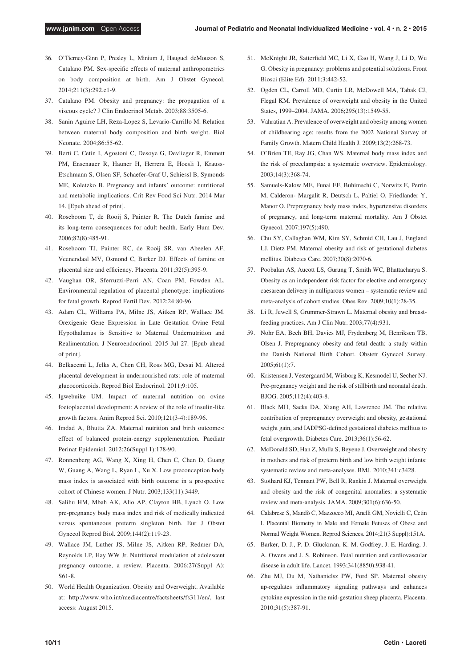- 36. O'Tierney-Ginn P, Presley L, Minium J, Hauguel deMouzon S, Catalano PM. Sex-specific effects of maternal anthropometrics on body composition at birth. Am J Obstet Gynecol. 2014;211(3):292.e1-9.
- 37. Catalano PM. Obesity and pregnancy: the propagation of a viscous cycle? J Clin Endocrinol Metab. 2003;88:3505-6.
- 38. Sanin Aguirre LH, Reza-Lopez S, Levario-Carrillo M. Relation between maternal body composition and birth weight. Biol Neonate. 2004;86:55-62.
- 39. Berti C, Cetin I, Agostoni C, Desoye G, Devlieger R, Emmett PM, Ensenauer R, Hauner H, Herrera E, Hoesli I, Krauss-Etschmann S, Olsen SF, Schaefer-Graf U, Schiessl B, Symonds ME, Koletzko B. Pregnancy and infants' outcome: nutritional and metabolic implications. Crit Rev Food Sci Nutr. 2014 Mar 14. [Epub ahead of print].
- 40. Roseboom T, de Rooij S, Painter R. The Dutch famine and its long-term consequences for adult health. Early Hum Dev. 2006;82(8):485-91.
- 41. Roseboom TJ, Painter RC, de Rooij SR, van Abeelen AF, Veenendaal MV, Osmond C, Barker DJ. Effects of famine on placental size and efficiency. Placenta. 2011;32(5):395-9.
- 42. Vaughan OR, Sferruzzi-Perri AN, Coan PM, Fowden AL. Environmental regulation of placental phenotype: implications for fetal growth. Reprod Fertil Dev. 2012;24:80-96.
- 43. Adam CL, Williams PA, Milne JS, Aitken RP, Wallace JM. Orexigenic Gene Expression in Late Gestation Ovine Fetal Hypothalamus is Sensitive to Maternal Undernutrition and Realimentation. J Neuroendocrinol. 2015 Jul 27. [Epub ahead of print].
- 44. Belkacemi L, Jelks A, Chen CH, Ross MG, Desai M. Altered placental development in undernourished rats: role of maternal glucocorticoids. Reprod Biol Endocrinol. 2011;9:105.
- 45. Igwebuike UM. Impact of maternal nutrition on ovine foetoplacental development: A review of the role of insulin-like growth factors. Anim Reprod Sci. 2010;121(3-4):189-96.
- 46. Imdad A, Bhutta ZA. Maternal nutrition and birth outcomes: effect of balanced protein-energy supplementation. Paediatr Perinat Epidemiol. 2012;26(Suppl 1):178-90.
- 47. Ronnenberg AG, Wang X, Xing H, Chen C, Chen D, Guang W, Guang A, Wang L, Ryan L, Xu X. Low preconception body mass index is associated with birth outcome in a prospective cohort of Chinese women. J Nutr. 2003;133(11):3449.
- 48. Salihu HM, Mbah AK, Alio AP, Clayton HB, Lynch O. Low pre-pregnancy body mass index and risk of medically indicated versus spontaneous preterm singleton birth. Eur J Obstet Gynecol Reprod Biol. 2009;144(2):119-23.
- 49. Wallace JM, Luther JS, Milne JS, Aitken RP, Redmer DA, Reynolds LP, Hay WW Jr. Nutritional modulation of adolescent pregnancy outcome, a review. Placenta. 2006;27(Suppl A): S61-8.
- 50. World Health Organization. Obesity and Overweight. Available at: http://www.who.int/mediacentre/factsheets/fs311/en/, last access: August 2015.
- 51. McKnight JR, Satterfield MC, Li X, Gao H, Wang J, Li D, Wu G. Obesity in pregnancy: problems and potential solutions. Front Biosci (Elite Ed). 2011;3:442-52.
- 52. Ogden CL, Carroll MD, Curtin LR, McDowell MA, Tabak CJ, Flegal KM. Prevalence of overweight and obesity in the United States, 1999–2004. JAMA. 2006;295(13):1549-55.
- 53. Vahratian A. Prevalence of overweight and obesity among women of childbearing age: results from the 2002 National Survey of Family Growth. Matern Child Health J. 2009;13(2):268-73.
- 54. O'Brien TE, Ray JG, Chan WS. Maternal body mass index and the risk of preeclampsia: a systematic overview. Epidemiology. 2003;14(3):368-74.
- 55. Samuels-Kalow ME, Funai EF, Buhimschi C, Norwitz E, Perrin M, Calderon- Margalit R, Deutsch L, Paltiel O, Friedlander Y, Manor O. Prepregnancy body mass index, hypertensive disorders of pregnancy, and long-term maternal mortality. Am J Obstet Gynecol. 2007;197(5):490.
- 56. Chu SY, Callaghan WM, Kim SY, Schmid CH, Lau J, England LJ, Dietz PM. Maternal obesity and risk of gestational diabetes mellitus. Diabetes Care. 2007;30(8):2070-6.
- 57. Poobalan AS, Aucott LS, Gurung T, Smith WC, Bhattacharya S. Obesity as an independent risk factor for elective and emergency caesarean delivery in nulliparous women – systematic review and meta-analysis of cohort studies. Obes Rev. 2009;10(1):28-35.
- 58. Li R, Jewell S, Grummer-Strawn L. Maternal obesity and breastfeeding practices. Am J Clin Nutr. 2003;77(4):931.
- 59. Nohr EA, Bech BH, Davies MJ, Frydenberg M, Henriksen TB, Olsen J. Prepregnancy obesity and fetal death: a study within the Danish National Birth Cohort. Obstetr Gynecol Survey. 2005;61(1):7.
- 60. Kristensen J, Vestergaard M, Wisborg K, Kesmodel U, Secher NJ. Pre-pregnancy weight and the risk of stillbirth and neonatal death. BJOG. 2005;112(4):403-8.
- 61. Black MH, Sacks DA, Xiang AH, Lawrence JM. The relative contribution of prepregnancy overweight and obesity, gestational weight gain, and IADPSG-defined gestational diabetes mellitus to fetal overgrowth. Diabetes Care. 2013;36(1):56-62.
- 62. McDonald SD, Han Z, Mulla S, Beyene J. Overweight and obesity in mothers and risk of preterm birth and low birth weight infants: systematic review and meta-analyses. BMJ. 2010;341:c3428.
- 63. Stothard KJ, Tennant PW, Bell R, Rankin J. Maternal overweight and obesity and the risk of congenital anomalies: a systematic review and meta-analysis. JAMA. 2009;301(6):636-50.
- 64. Calabrese S, Mandò C, Mazzocco MI, Anelli GM, Novielli C, Cetin I. Placental Biometry in Male and Female Fetuses of Obese and Normal Weight Women. Reprod Sciences. 2014;21(3 Suppl):151A.
- 65. Barker, D. J., P. D. Gluckman, K. M. Godfrey, J. E. Harding, J. A. Owens and J. S. Robinson. Fetal nutrition and cardiovascular disease in adult life. Lancet. 1993;341(8850):938-41.
- 66. Zhu MJ, Du M, Nathanielsz PW, Ford SP. Maternal obesity up-regulates inflammatory signaling pathways and enhances cytokine expression in the mid-gestation sheep placenta. Placenta. 2010;31(5):387-91.